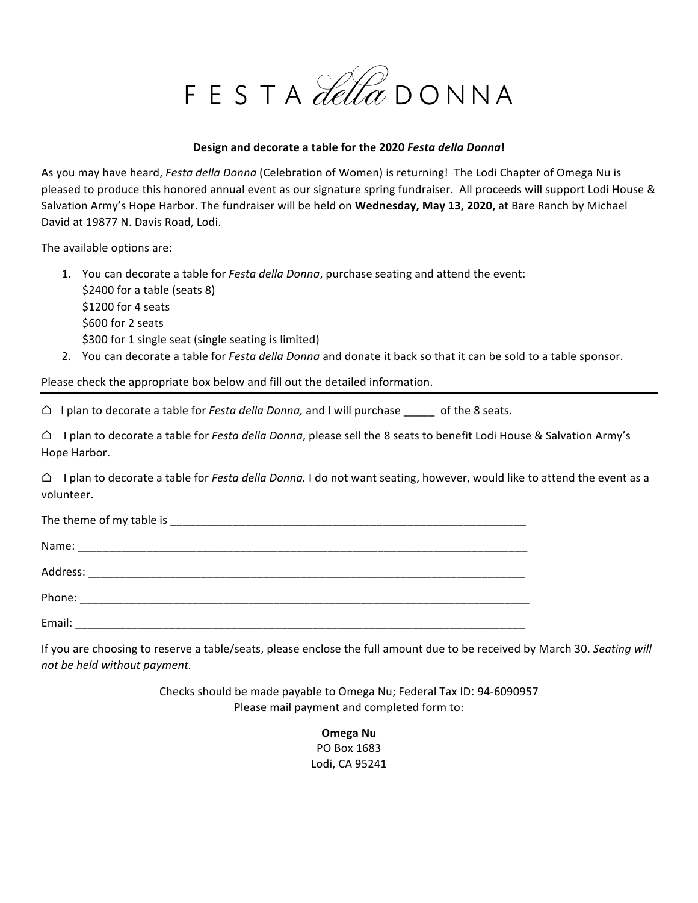FESTA Letta DONNA

#### Design and decorate a table for the 2020 *Festa della Donna*!

As you may have heard, *Festa della Donna* (Celebration of Women) is returning! The Lodi Chapter of Omega Nu is pleased to produce this honored annual event as our signature spring fundraiser. All proceeds will support Lodi House & Salvation Army's Hope Harbor. The fundraiser will be held on Wednesday, May 13, 2020, at Bare Ranch by Michael David at 19877 N. Davis Road, Lodi.

The available options are:

- 1. You can decorate a table for *Festa della Donna*, purchase seating and attend the event: \$2400 for a table (seats 8) \$1200 for 4 seats \$600 for 2 seats \$300 for 1 single seat (single seating is limited)
- 2. You can decorate a table for *Festa della Donna* and donate it back so that it can be sold to a table sponsor.

Please check the appropriate box below and fill out the detailed information.

 $\bigcirc$  I plan to decorate a table for *Festa della Donna*, and I will purchase \_\_\_\_\_ of the 8 seats.

 $\bigcirc$  I plan to decorate a table for *Festa della Donna*, please sell the 8 seats to benefit Lodi House & Salvation Army's Hope Harbor.

 $\bigcirc$  I plan to decorate a table for *Festa della Donna*. I do not want seating, however, would like to attend the event as a volunteer.

| Email: |  |
|--------|--|

If you are choosing to reserve a table/seats, please enclose the full amount due to be received by March 30. Seating will *not be held without payment.*

> Checks should be made payable to Omega Nu; Federal Tax ID: 94-6090957 Please mail payment and completed form to:

> > **Omega Nu** PO Box 1683 Lodi, CA 95241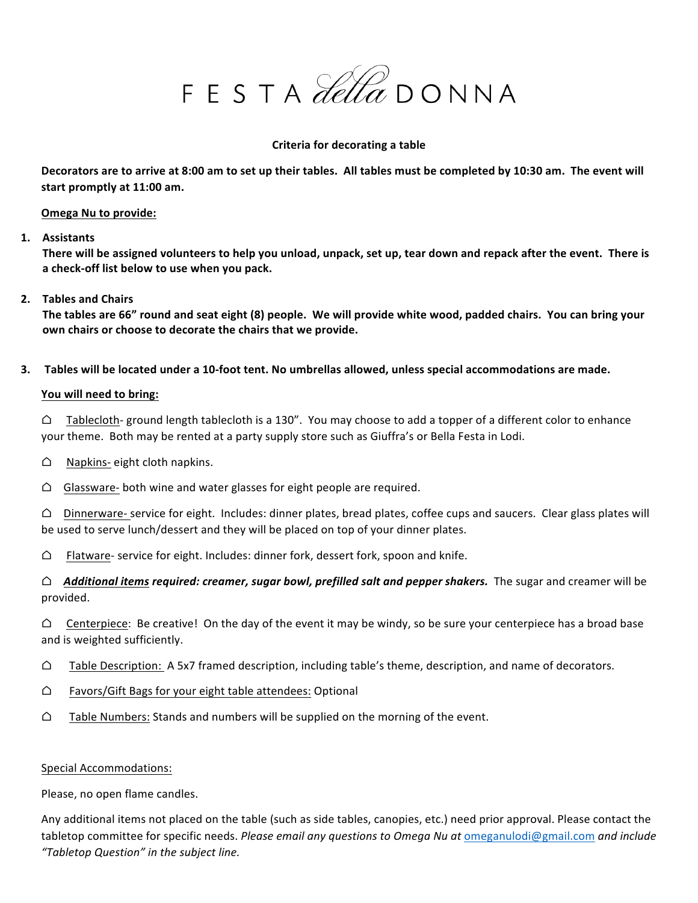FESTA Letta DONNA

#### **Criteria for decorating a table**

Decorators are to arrive at 8:00 am to set up their tables. All tables must be completed by 10:30 am. The event will start promptly at 11:00 am.

#### **Omega Nu to provide:**

**1. Assistants**

There will be assigned volunteers to help you unload, unpack, set up, tear down and repack after the event. There is a check-off list below to use when you pack.

## 2. **Tables and Chairs**

The tables are 66" round and seat eight (8) people. We will provide white wood, padded chairs. You can bring your own chairs or choose to decorate the chairs that we provide.

**3.** Tables will be located under a 10-foot tent. No umbrellas allowed, unless special accommodations are made.

## You will need to bring:

 $\bigcirc$  Tablecloth- ground length tablecloth is a 130". You may choose to add a topper of a different color to enhance your theme. Both may be rented at a party supply store such as Giuffra's or Bella Festa in Lodi.

- $\bigcirc$  Napkins- eight cloth napkins.
- $\bigcirc$  Glassware- both wine and water glasses for eight people are required.

 $\triangle$  Dinnerware- service for eight. Includes: dinner plates, bread plates, coffee cups and saucers. Clear glass plates will be used to serve lunch/dessert and they will be placed on top of your dinner plates.

 $\bigcirc$  Flatware- service for eight. Includes: dinner fork, dessert fork, spoon and knife.

 $\triangle$  Additional items required: creamer, sugar bowl, prefilled salt and pepper shakers. The sugar and creamer will be provided.

 $\bigcirc$  Centerpiece: Be creative! On the day of the event it may be windy, so be sure your centerpiece has a broad base and is weighted sufficiently.

- $\bigcirc$  Table Description: A 5x7 framed description, including table's theme, description, and name of decorators.
- $\bigcirc$  Favors/Gift Bags for your eight table attendees: Optional
- $\bigcirc$  Table Numbers: Stands and numbers will be supplied on the morning of the event.

#### Special Accommodations:

Please, no open flame candles.

Any additional items not placed on the table (such as side tables, canopies, etc.) need prior approval. Please contact the tabletop committee for specific needs. *Please email any questions to Omega Nu at omeganulodi@gmail.com and include "Tabletop Question" in the subject line.*